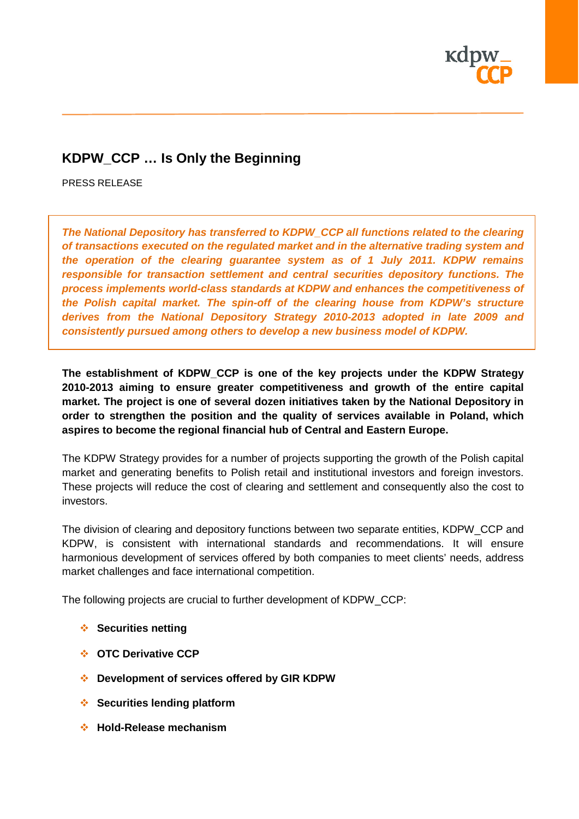

# **KDPW\_CCP … Is Only the Beginning**

PRESS RELEASE

*The National Depository has transferred to KDPW\_CCP all functions related to the clearing of transactions executed on the regulated market and in the alternative trading system and the operation of the clearing guarantee system as of 1 July 2011. KDPW remains responsible for transaction settlement and central securities depository functions. The process implements world-class standards at KDPW and enhances the competitiveness of the Polish capital market. The spin-off of the clearing house from KDPW's structure derives from the National Depository Strategy 2010-2013 adopted in late 2009 and consistently pursued among others to develop a new business model of KDPW.*

**The establishment of KDPW\_CCP is one of the key projects under the KDPW Strategy 2010-2013 aiming to ensure greater competitiveness and growth of the entire capital market. The project is one of several dozen initiatives taken by the National Depository in order to strengthen the position and the quality of services available in Poland, which aspires to become the regional financial hub of Central and Eastern Europe.**

The KDPW Strategy provides for a number of projects supporting the growth of the Polish capital market and generating benefits to Polish retail and institutional investors and foreign investors. These projects will reduce the cost of clearing and settlement and consequently also the cost to investors.

The division of clearing and depository functions between two separate entities, KDPW\_CCP and KDPW, is consistent with international standards and recommendations. It will ensure harmonious development of services offered by both companies to meet clients' needs, address market challenges and face international competition.

The following projects are crucial to further development of KDPW\_CCP:

- **Securities netting** ↓
- **OTC Derivative CCP**
- **Development of services offered by GIR KDPW**
- **Securities lending platform**
- **Hold-Release mechanism**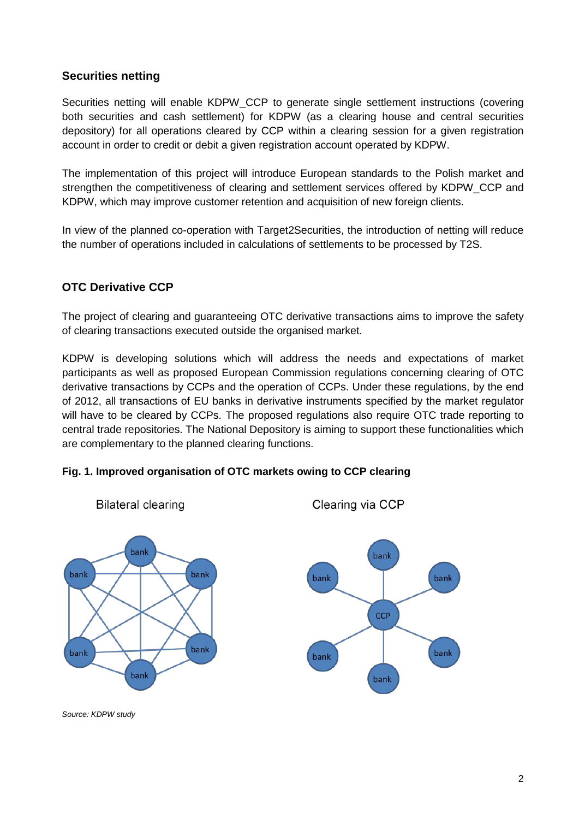# **Securities netting**

Securities netting will enable KDPW\_CCP to generate single settlement instructions (covering both securities and cash settlement) for KDPW (as a clearing house and central securities depository) for all operations cleared by CCP within a clearing session for a given registration account in order to credit or debit a given registration account operated by KDPW.

The implementation of this project will introduce European standards to the Polish market and strengthen the competitiveness of clearing and settlement services offered by KDPW\_CCP and KDPW, which may improve customer retention and acquisition of new foreign clients.

In view of the planned co-operation with Target2Securities, the introduction of netting will reduce the number of operations included in calculations of settlements to be processed by T2S.

# **OTC Derivative CCP**

The project of clearing and guaranteeing OTC derivative transactions aims to improve the safety of clearing transactions executed outside the organised market.

KDPW is developing solutions which will address the needs and expectations of market participants as well as proposed European Commission regulations concerning clearing of OTC derivative transactions by CCPs and the operation of CCPs. Under these regulations, by the end of 2012, all transactions of EU banks in derivative instruments specified by the market regulator will have to be cleared by CCPs. The proposed regulations also require OTC trade reporting to central trade repositories. The National Depository is aiming to support these functionalities which are complementary to the planned clearing functions.

### **Fig. 1. Improved organisation of OTC markets owing to CCP clearing**



**Bilateral clearing** 

Clearing via CCP



*Source: KDPW study*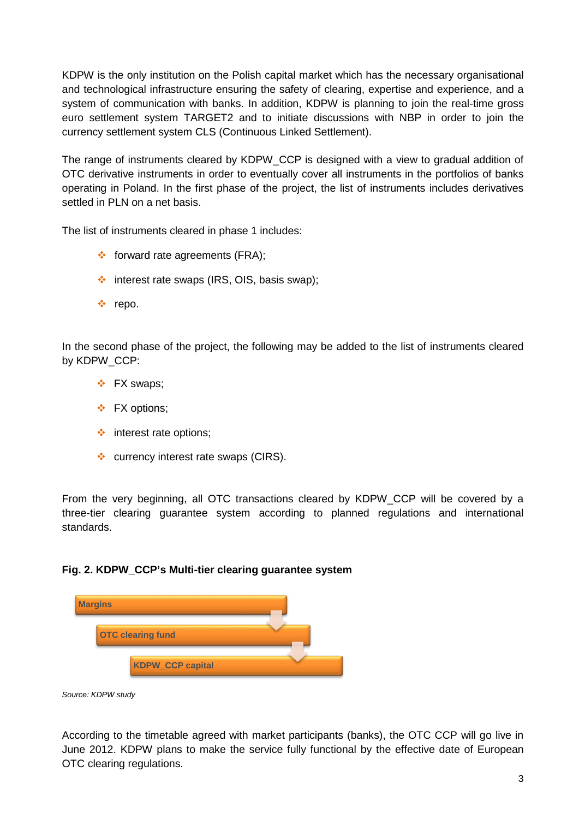KDPW is the only institution on the Polish capital market which has the necessary organisational and technological infrastructure ensuring the safety of clearing, expertise and experience, and a system of communication with banks. In addition, KDPW is planning to join the real-time gross euro settlement system TARGET2 and to initiate discussions with NBP in order to join the currency settlement system CLS (Continuous Linked Settlement).

The range of instruments cleared by KDPW\_CCP is designed with a view to gradual addition of OTC derivative instruments in order to eventually cover all instruments in the portfolios of banks operating in Poland. In the first phase of the project, the list of instruments includes derivatives settled in PLN on a net basis.

The list of instruments cleared in phase 1 includes:

- $\div$  forward rate agreements (FRA);
- $\cdot$  interest rate swaps (IRS, OIS, basis swap);
- repo.

In the second phase of the project, the following may be added to the list of instruments cleared by KDPW\_CCP:

- FX swaps;
- FX options;
- $\cdot$  interest rate options;
- $\div$  currency interest rate swaps (CIRS).

From the very beginning, all OTC transactions cleared by KDPW\_CCP will be covered by a three-tier clearing guarantee system according to planned regulations and international standards.

#### **Fig. 2. KDPW\_CCP's Multi-tier clearing guarantee system**

| <b>Margins</b>           |  |
|--------------------------|--|
| <b>OTC clearing fund</b> |  |
| <b>KDPW_CCP capital</b>  |  |

*Source: KDPW study*

According to the timetable agreed with market participants (banks), the OTC CCP will go live in June 2012. KDPW plans to make the service fully functional by the effective date of European OTC clearing regulations.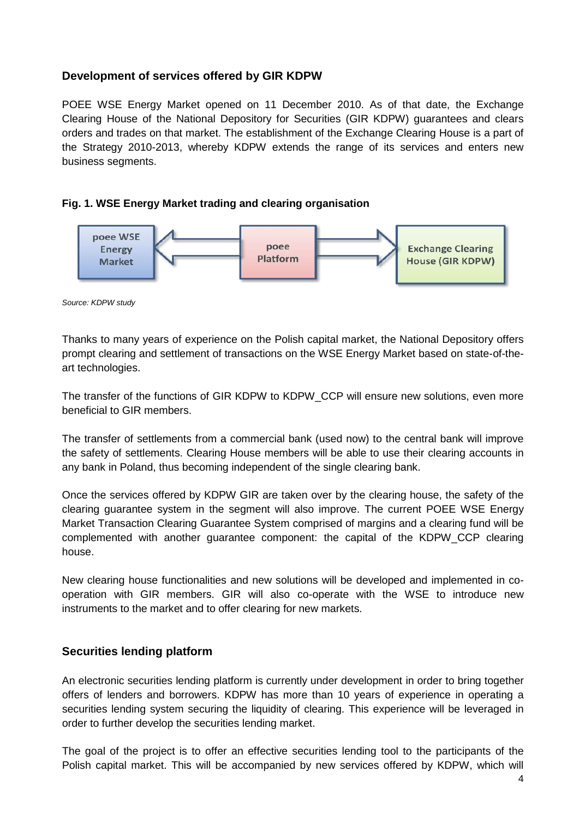# **Development of services offered by GIR KDPW**

POEE WSE Energy Market opened on 11 December 2010. As of that date, the Exchange Clearing House of the National Depository for Securities (GIR KDPW) guarantees and clears orders and trades on that market. The establishment of the Exchange Clearing House is a part of the Strategy 2010-2013, whereby KDPW extends the range of its services and enters new business segments.

#### **Fig. 1. WSE Energy Market trading and clearing organisation**



*Source: KDPW study*

Thanks to many years of experience on the Polish capital market, the National Depository offers prompt clearing and settlement of transactions on the WSE Energy Market based on state-of-theart technologies.

The transfer of the functions of GIR KDPW to KDPW\_CCP will ensure new solutions, even more beneficial to GIR members.

The transfer of settlements from a commercial bank (used now) to the central bank will improve the safety of settlements. Clearing House members will be able to use their clearing accounts in any bank in Poland, thus becoming independent of the single clearing bank.

Once the services offered by KDPW GIR are taken over by the clearing house, the safety of the clearing guarantee system in the segment will also improve. The current POEE WSE Energy Market Transaction Clearing Guarantee System comprised of margins and a clearing fund will be complemented with another guarantee component: the capital of the KDPW\_CCP clearing house.

New clearing house functionalities and new solutions will be developed and implemented in cooperation with GIR members. GIR will also co-operate with the WSE to introduce new instruments to the market and to offer clearing for new markets.

### **Securities lending platform**

An electronic securities lending platform is currently under development in order to bring together offers of lenders and borrowers. KDPW has more than 10 years of experience in operating a securities lending system securing the liquidity of clearing. This experience will be leveraged in order to further develop the securities lending market.

The goal of the project is to offer an effective securities lending tool to the participants of the Polish capital market. This will be accompanied by new services offered by KDPW, which will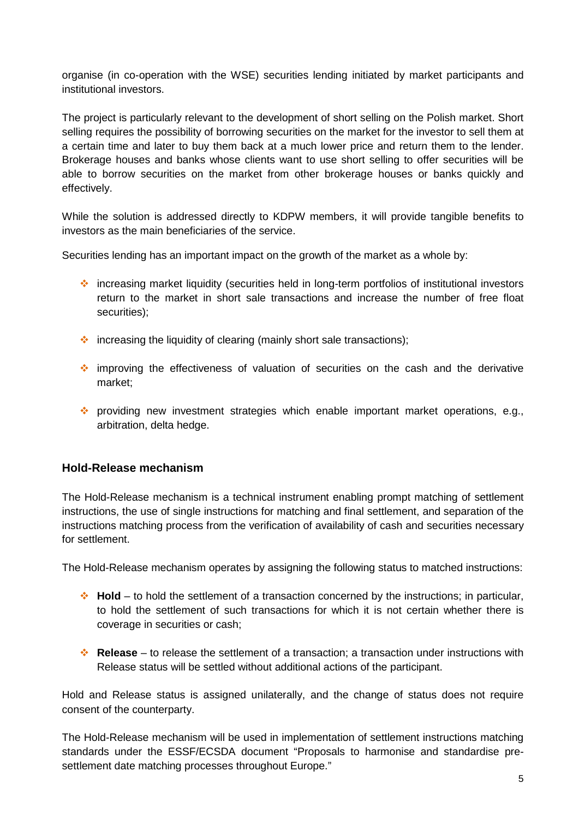organise (in co-operation with the WSE) securities lending initiated by market participants and institutional investors.

The project is particularly relevant to the development of short selling on the Polish market. Short selling requires the possibility of borrowing securities on the market for the investor to sell them at a certain time and later to buy them back at a much lower price and return them to the lender. Brokerage houses and banks whose clients want to use short selling to offer securities will be able to borrow securities on the market from other brokerage houses or banks quickly and effectively.

While the solution is addressed directly to KDPW members, it will provide tangible benefits to investors as the main beneficiaries of the service.

Securities lending has an important impact on the growth of the market as a whole by:

- increasing market liquidity (securities held in long-term portfolios of institutional investors return to the market in short sale transactions and increase the number of free float securities):
- $\cdot$  increasing the liquidity of clearing (mainly short sale transactions);
- improving the effectiveness of valuation of securities on the cash and the derivative market;
- \* providing new investment strategies which enable important market operations, e.g., arbitration, delta hedge.

### **Hold-Release mechanism**

The Hold-Release mechanism is a technical instrument enabling prompt matching of settlement instructions, the use of single instructions for matching and final settlement, and separation of the instructions matching process from the verification of availability of cash and securities necessary for settlement.

The Hold-Release mechanism operates by assigning the following status to matched instructions:

- **Hold** to hold the settlement of a transaction concerned by the instructions; in particular, to hold the settlement of such transactions for which it is not certain whether there is coverage in securities or cash;
- **Release** to release the settlement of a transaction; a transaction under instructions with Release status will be settled without additional actions of the participant.

Hold and Release status is assigned unilaterally, and the change of status does not require consent of the counterparty.

The Hold-Release mechanism will be used in implementation of settlement instructions matching standards under the ESSF/ECSDA document "Proposals to harmonise and standardise presettlement date matching processes throughout Europe."